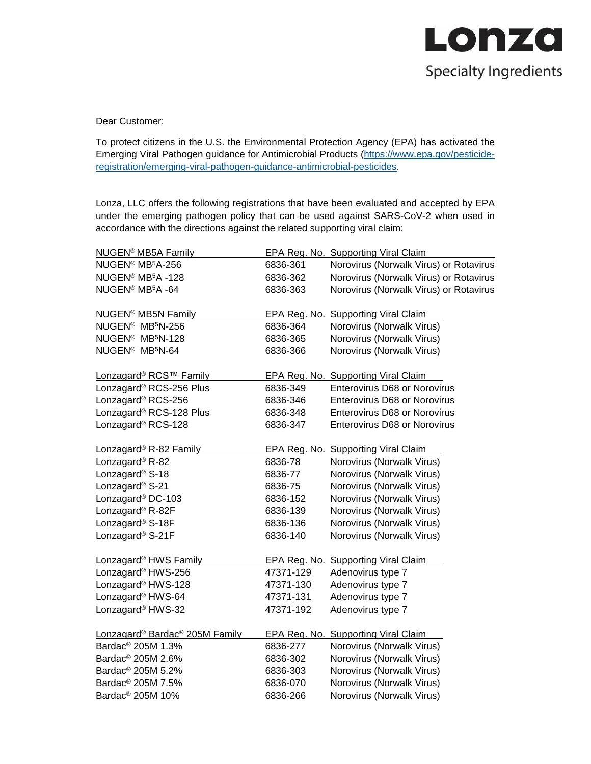

Dear Customer:

To protect citizens in the U.S. the Environmental Protection Agency (EPA) has activated the Emerging Viral Pathogen guidance for Antimicrobial Products [\(https://www.epa.gov/pesticide](https://www.epa.gov/pesticide-registration/emerging-viral-pathogen-guidance-antimicrobial-pesticides)[registration/emerging-viral-pathogen-guidance-antimicrobial-pesticides.](https://www.epa.gov/pesticide-registration/emerging-viral-pathogen-guidance-antimicrobial-pesticides)

Lonza, LLC offers the following registrations that have been evaluated and accepted by EPA under the emerging pathogen policy that can be used against SARS-CoV-2 when used in accordance with the directions against the related supporting viral claim:

| <b>NUGEN<sup>®</sup> MB5A Family</b>                   |           | <b>EPA Reg. No. Supporting Viral Claim</b> |
|--------------------------------------------------------|-----------|--------------------------------------------|
| NUGEN® MB <sup>5</sup> A-256                           | 6836-361  | Norovirus (Norwalk Virus) or Rotavirus     |
| NUGEN® MB <sup>5</sup> A -128                          | 6836-362  | Norovirus (Norwalk Virus) or Rotavirus     |
| NUGEN <sup>®</sup> MB <sup>5</sup> A -64               | 6836-363  | Norovirus (Norwalk Virus) or Rotavirus     |
| <b>NUGEN<sup>®</sup> MB5N Family</b>                   |           | EPA Reg. No. Supporting Viral Claim        |
| NUGEN <sup>®</sup> MB <sup>5</sup> N-256               | 6836-364  | Norovirus (Norwalk Virus)                  |
| NUGEN <sup>®</sup> MB <sup>5</sup> N-128               | 6836-365  | Norovirus (Norwalk Virus)                  |
| NUGEN <sup>®</sup> MB <sup>5</sup> N-64                | 6836-366  | Norovirus (Norwalk Virus)                  |
| Lonzagard® RCS™ Family                                 |           | EPA Reg. No. Supporting Viral Claim        |
| Lonzagard® RCS-256 Plus                                | 6836-349  | Enterovirus D68 or Norovirus               |
| Lonzagard® RCS-256                                     | 6836-346  | <b>Enterovirus D68 or Norovirus</b>        |
| Lonzagard® RCS-128 Plus                                | 6836-348  | Enterovirus D68 or Norovirus               |
| Lonzagard® RCS-128                                     | 6836-347  | Enterovirus D68 or Norovirus               |
| Lonzagard <sup>®</sup> R-82 Family                     |           | EPA Reg. No. Supporting Viral Claim        |
| Lonzagard <sup>®</sup> R-82                            | 6836-78   | Norovirus (Norwalk Virus)                  |
| Lonzagard <sup>®</sup> S-18                            | 6836-77   | Norovirus (Norwalk Virus)                  |
| Lonzagard <sup>®</sup> S-21                            | 6836-75   | Norovirus (Norwalk Virus)                  |
| Lonzagard <sup>®</sup> DC-103                          | 6836-152  | Norovirus (Norwalk Virus)                  |
| Lonzagard <sup>®</sup> R-82F                           | 6836-139  | Norovirus (Norwalk Virus)                  |
| Lonzagard <sup>®</sup> S-18F                           | 6836-136  | Norovirus (Norwalk Virus)                  |
| Lonzagard <sup>®</sup> S-21F                           | 6836-140  | Norovirus (Norwalk Virus)                  |
| Lonzagard <sup>®</sup> HWS Family                      |           | EPA Reg. No. Supporting Viral Claim        |
| Lonzagard® HWS-256                                     | 47371-129 | Adenovirus type 7                          |
| Lonzagard <sup>®</sup> HWS-128                         | 47371-130 | Adenovirus type 7                          |
| Lonzagard <sup>®</sup> HWS-64                          | 47371-131 | Adenovirus type 7                          |
| Lonzagard <sup>®</sup> HWS-32                          | 47371-192 | Adenovirus type 7                          |
| Lonzagard <sup>®</sup> Bardac <sup>®</sup> 205M Family |           | EPA Reg. No. Supporting Viral Claim        |
| Bardac <sup>®</sup> 205M 1.3%                          | 6836-277  | Norovirus (Norwalk Virus)                  |
| Bardac <sup>®</sup> 205M 2.6%                          | 6836-302  | Norovirus (Norwalk Virus)                  |
| Bardac <sup>®</sup> 205M 5.2%                          | 6836-303  | Norovirus (Norwalk Virus)                  |
| Bardac <sup>®</sup> 205M 7.5%                          | 6836-070  | Norovirus (Norwalk Virus)                  |
| Bardac <sup>®</sup> 205M 10%                           | 6836-266  | Norovirus (Norwalk Virus)                  |